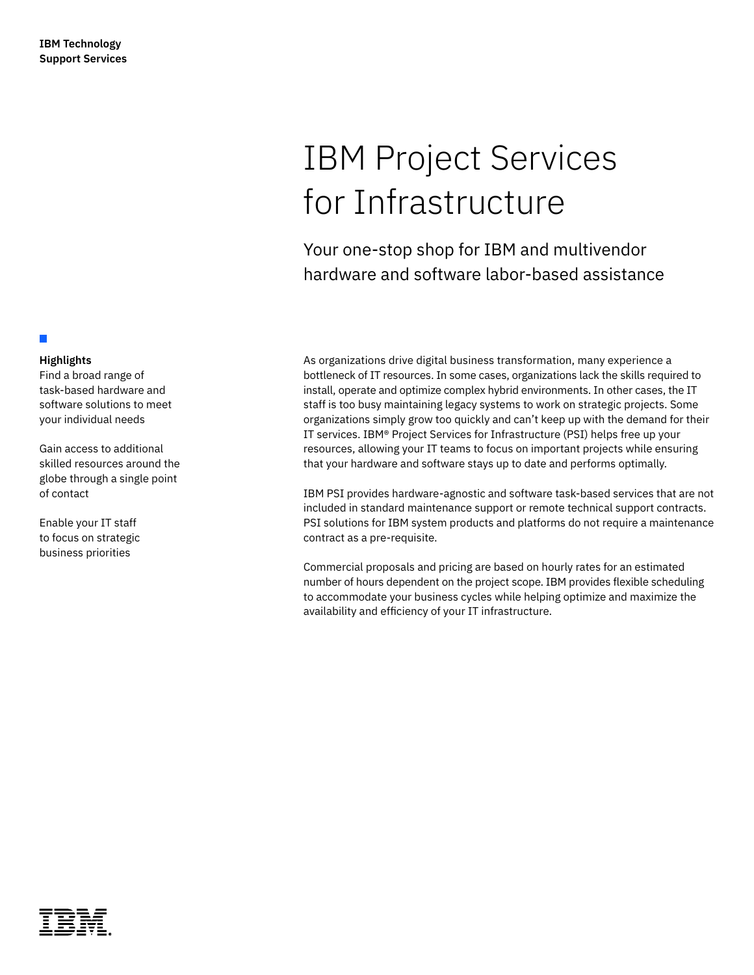### **Highlights**

П

Find a broad range of task-based hardware and software solutions to meet your individual needs

Gain access to additional skilled resources around the globe through a single point of contact

Enable your IT staff to focus on strategic business priorities

# IBM Project Services for Infrastructure

Your one-stop shop for IBM and multivendor hardware and software labor-based assistance

As organizations drive digital business transformation, many experience a bottleneck of IT resources. In some cases, organizations lack the skills required to install, operate and optimize complex hybrid environments. In other cases, the IT staff is too busy maintaining legacy systems to work on strategic projects. Some organizations simply grow too quickly and can't keep up with the demand for their IT services. IBM® Project Services for Infrastructure (PSI) helps free up your resources, allowing your IT teams to focus on important projects while ensuring that your hardware and software stays up to date and performs optimally.

IBM PSI provides hardware-agnostic and software task-based services that are not included in standard maintenance support or remote technical support contracts. PSI solutions for IBM system products and platforms do not require a maintenance contract as a pre-requisite.

Commercial proposals and pricing are based on hourly rates for an estimated number of hours dependent on the project scope. IBM provides flexible scheduling to accommodate your business cycles while helping optimize and maximize the availability and efficiency of your IT infrastructure.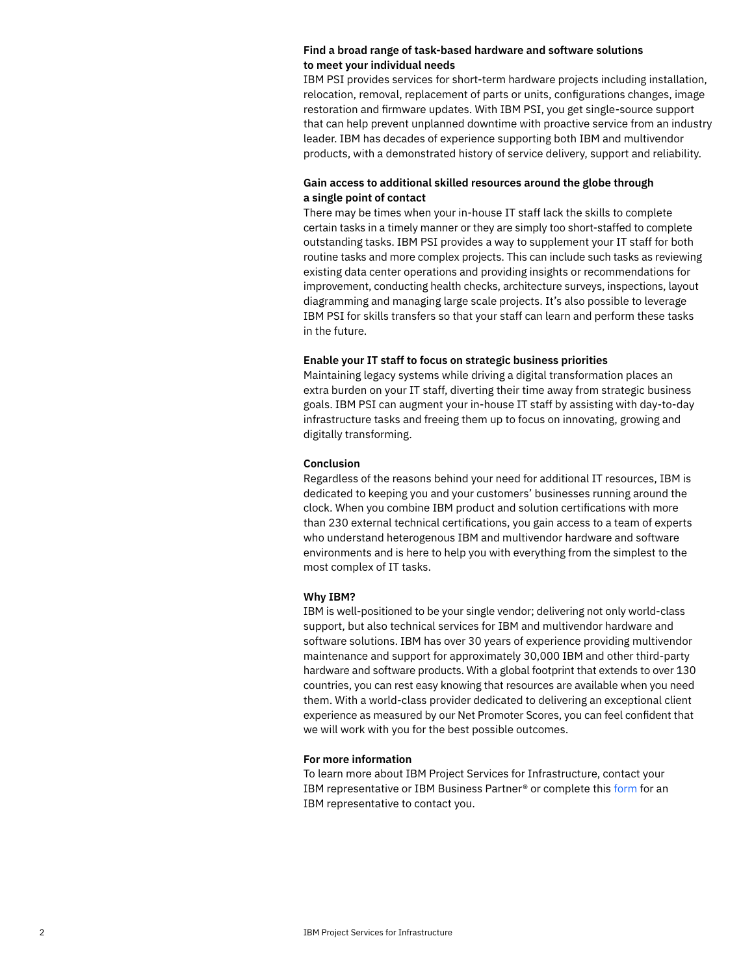#### **Find a broad range of task-based hardware and software solutions to meet your individual needs**

IBM PSI provides services for short-term hardware projects including installation, relocation, removal, replacement of parts or units, configurations changes, image restoration and firmware updates. With IBM PSI, you get single-source support that can help prevent unplanned downtime with proactive service from an industry leader. IBM has decades of experience supporting both IBM and multivendor products, with a demonstrated history of service delivery, support and reliability.

#### **Gain access to additional skilled resources around the globe through a single point of contact**

There may be times when your in-house IT staff lack the skills to complete certain tasks in a timely manner or they are simply too short-staffed to complete outstanding tasks. IBM PSI provides a way to supplement your IT staff for both routine tasks and more complex projects. This can include such tasks as reviewing existing data center operations and providing insights or recommendations for improvement, conducting health checks, architecture surveys, inspections, layout diagramming and managing large scale projects. It's also possible to leverage IBM PSI for skills transfers so that your staff can learn and perform these tasks in the future.

#### **Enable your IT staff to focus on strategic business priorities**

Maintaining legacy systems while driving a digital transformation places an extra burden on your IT staff, diverting their time away from strategic business goals. IBM PSI can augment your in-house IT staff by assisting with day-to-day infrastructure tasks and freeing them up to focus on innovating, growing and digitally transforming.

#### **Conclusion**

Regardless of the reasons behind your need for additional IT resources, IBM is dedicated to keeping you and your customers' businesses running around the clock. When you combine IBM product and solution certifications with more than 230 external technical certifications, you gain access to a team of experts who understand heterogenous IBM and multivendor hardware and software environments and is here to help you with everything from the simplest to the most complex of IT tasks.

#### **Why IBM?**

IBM is well-positioned to be your single vendor; delivering not only world-class support, but also technical services for IBM and multivendor hardware and software solutions. IBM has over 30 years of experience providing multivendor maintenance and support for approximately 30,000 IBM and other third-party hardware and software products. With a global footprint that extends to over 130 countries, you can rest easy knowing that resources are available when you need them. With a world-class provider dedicated to delivering an exceptional client experience as measured by our Net Promoter Scores, you can feel confident that we will work with you for the best possible outcomes.

#### **For more information**

To learn more about IBM Project Services for Infrastructure, contact your IBM representative or IBM Business Partner® or complete this [form](https://www.ibm.com/account/reg/us-en/signup?formid=MAIL-systems) for an IBM representative to contact you.